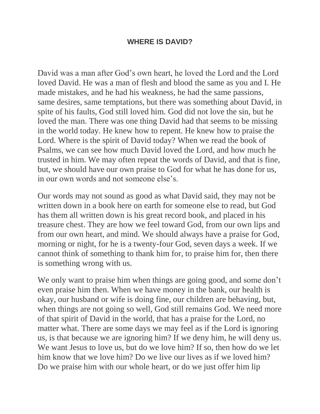## **WHERE IS DAVID?**

David was a man after God's own heart, he loved the Lord and the Lord loved David. He was a man of flesh and blood the same as you and I. He made mistakes, and he had his weakness, he had the same passions, same desires, same temptations, but there was something about David, in spite of his faults, God still loved him. God did not love the sin, but he loved the man. There was one thing David had that seems to be missing in the world today. He knew how to repent. He knew how to praise the Lord. Where is the spirit of David today? When we read the book of Psalms, we can see how much David loved the Lord, and how much he trusted in him. We may often repeat the words of David, and that is fine, but, we should have our own praise to God for what he has done for us, in our own words and not someone else's.

Our words may not sound as good as what David said, they may not be written down in a book here on earth for someone else to read, but God has them all written down is his great record book, and placed in his treasure chest. They are how we feel toward God, from our own lips and from our own heart, and mind. We should always have a praise for God, morning or night, for he is a twenty-four God, seven days a week. If we cannot think of something to thank him for, to praise him for, then there is something wrong with us.

We only want to praise him when things are going good, and some don't even praise him then. When we have money in the bank, our health is okay, our husband or wife is doing fine, our children are behaving, but, when things are not going so well, God still remains God. We need more of that spirit of David in the world, that has a praise for the Lord, no matter what. There are some days we may feel as if the Lord is ignoring us, is that because we are ignoring him? If we deny him, he will deny us. We want Jesus to love us, but do we love him? If so, then how do we let him know that we love him? Do we live our lives as if we loved him? Do we praise him with our whole heart, or do we just offer him lip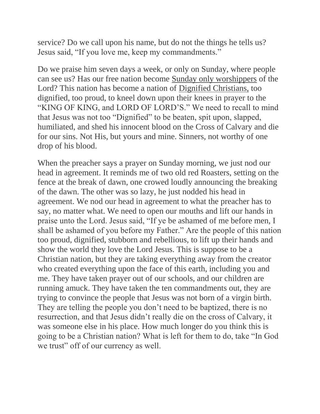service? Do we call upon his name, but do not the things he tells us? Jesus said, "If you love me, keep my commandments."

Do we praise him seven days a week, or only on Sunday, where people can see us? Has our free nation become Sunday only worshippers of the Lord? This nation has become a nation of Dignified Christians, too dignified, too proud, to kneel down upon their knees in prayer to the "KING OF KING, and LORD OF LORD'S." We need to recall to mind that Jesus was not too "Dignified" to be beaten, spit upon, slapped, humiliated, and shed his innocent blood on the Cross of Calvary and die for our sins. Not His, but yours and mine. Sinners, not worthy of one drop of his blood.

When the preacher says a prayer on Sunday morning, we just nod our head in agreement. It reminds me of two old red Roasters, setting on the fence at the break of dawn, one crowed loudly announcing the breaking of the dawn. The other was so lazy, he just nodded his head in agreement. We nod our head in agreement to what the preacher has to say, no matter what. We need to open our mouths and lift our hands in praise unto the Lord. Jesus said, "If ye be ashamed of me before men, I shall be ashamed of you before my Father." Are the people of this nation too proud, dignified, stubborn and rebellious, to lift up their hands and show the world they love the Lord Jesus. This is suppose to be a Christian nation, but they are taking everything away from the creator who created everything upon the face of this earth, including you and me. They have taken prayer out of our schools, and our children are running amuck. They have taken the ten commandments out, they are trying to convince the people that Jesus was not born of a virgin birth. They are telling the people you don't need to be baptized, there is no resurrection, and that Jesus didn't really die on the cross of Calvary, it was someone else in his place. How much longer do you think this is going to be a Christian nation? What is left for them to do, take "In God we trust" off of our currency as well.